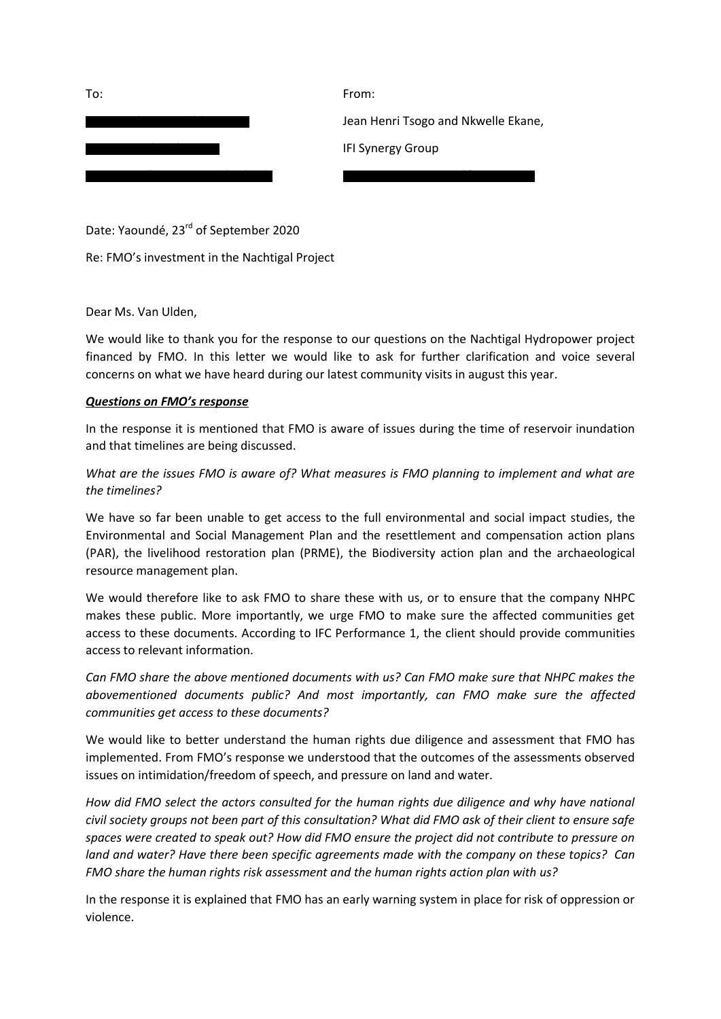| To: | From:                               |
|-----|-------------------------------------|
|     | Jean Henri Tsogo and Nkwelle Ekane, |
|     | <b>IFI Synergy Group</b>            |
|     |                                     |

Date: Yaoundé, 23<sup>rd</sup> of September 2020

Re: FMO's investment in the Nachtigal Project

Dear Ms. Van Ulden,

We would like to thank you for the response to our questions on the Nachtigal Hydropower project financed by FMO. In this letter we would like to ask for further clarification and voice several concerns on what we have heard during our latest community visits in august this year.

## *Questions on FMO's response*

In the response it is mentioned that FMO is aware of issues during the time of reservoir inundation and that timelines are being discussed.

*What are the issues FMO is aware of? What measures is FMO planning to implement and what are the timelines?*

We have so far been unable to get access to the full environmental and social impact studies, the Environmental and Social Management Plan and the resettlement and compensation action plans (PAR), the livelihood restoration plan (PRME), the Biodiversity action plan and the archaeological resource management plan.

We would therefore like to ask FMO to share these with us, or to ensure that the company NHPC makes these public. More importantly, we urge FMO to make sure the affected communities get access to these documents. According to IFC Performance 1, the client should provide communities access to relevant information.

*Can FMO share the above mentioned documents with us? Can FMO make sure that NHPC makes the abovementioned documents public? And most importantly, can FMO make sure the affected communities get access to these documents?*

We would like to better understand the human rights due diligence and assessment that FMO has implemented. From FMO's response we understood that the outcomes of the assessments observed issues on intimidation/freedom of speech, and pressure on land and water.

*How did FMO select the actors consulted for the human rights due diligence and why have national civil society groups not been part of this consultation? What did FMO ask of their client to ensure safe spaces were created to speak out? How did FMO ensure the project did not contribute to pressure on land and water? Have there been specific agreements made with the company on these topics? Can FMO share the human rights risk assessment and the human rights action plan with us?*

In the response it is explained that FMO has an early warning system in place for risk of oppression or violence.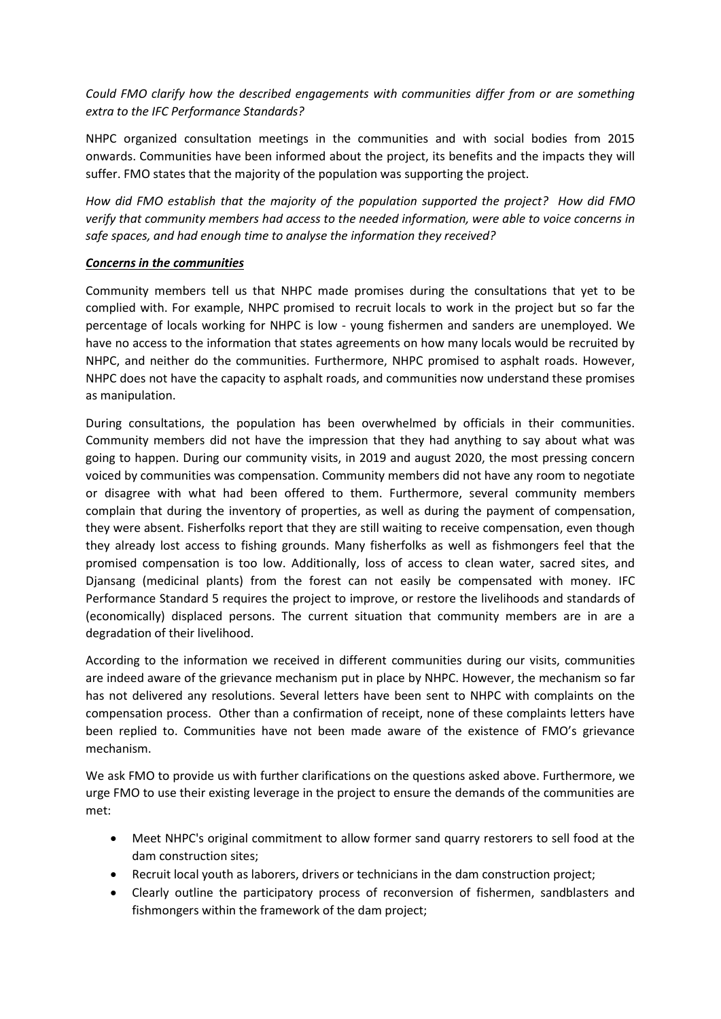*Could FMO clarify how the described engagements with communities differ from or are something extra to the IFC Performance Standards?*

NHPC organized consultation meetings in the communities and with social bodies from 2015 onwards. Communities have been informed about the project, its benefits and the impacts they will suffer. FMO states that the majority of the population was supporting the project.

*How did FMO establish that the majority of the population supported the project? How did FMO verify that community members had access to the needed information, were able to voice concerns in safe spaces, and had enough time to analyse the information they received?*

## *Concerns in the communities*

Community members tell us that NHPC made promises during the consultations that yet to be complied with. For example, NHPC promised to recruit locals to work in the project but so far the percentage of locals working for NHPC is low - young fishermen and sanders are unemployed. We have no access to the information that states agreements on how many locals would be recruited by NHPC, and neither do the communities. Furthermore, NHPC promised to asphalt roads. However, NHPC does not have the capacity to asphalt roads, and communities now understand these promises as manipulation.

During consultations, the population has been overwhelmed by officials in their communities. Community members did not have the impression that they had anything to say about what was going to happen. During our community visits, in 2019 and august 2020, the most pressing concern voiced by communities was compensation. Community members did not have any room to negotiate or disagree with what had been offered to them. Furthermore, several community members complain that during the inventory of properties, as well as during the payment of compensation, they were absent. Fisherfolks report that they are still waiting to receive compensation, even though they already lost access to fishing grounds. Many fisherfolks as well as fishmongers feel that the promised compensation is too low. Additionally, loss of access to clean water, sacred sites, and Djansang (medicinal plants) from the forest can not easily be compensated with money. IFC Performance Standard 5 requires the project to improve, or restore the livelihoods and standards of (economically) displaced persons. The current situation that community members are in are a degradation of their livelihood.

According to the information we received in different communities during our visits, communities are indeed aware of the grievance mechanism put in place by NHPC. However, the mechanism so far has not delivered any resolutions. Several letters have been sent to NHPC with complaints on the compensation process. Other than a confirmation of receipt, none of these complaints letters have been replied to. Communities have not been made aware of the existence of FMO's grievance mechanism.

We ask FMO to provide us with further clarifications on the questions asked above. Furthermore, we urge FMO to use their existing leverage in the project to ensure the demands of the communities are met:

- Meet NHPC's original commitment to allow former sand quarry restorers to sell food at the dam construction sites;
- Recruit local youth as laborers, drivers or technicians in the dam construction project;
- Clearly outline the participatory process of reconversion of fishermen, sandblasters and fishmongers within the framework of the dam project;